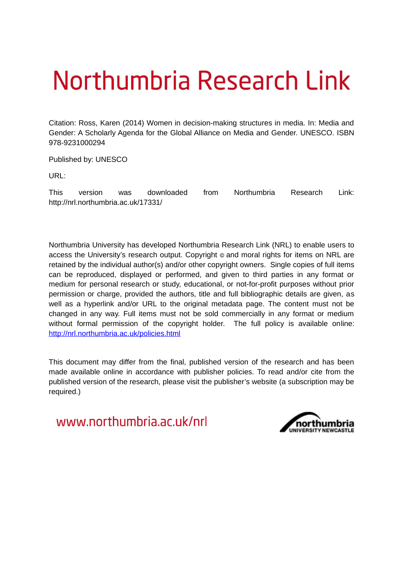# Northumbria Research Link

Citation: Ross, Karen (2014) Women in decision-making structures in media. In: Media and Gender: A Scholarly Agenda for the Global Alliance on Media and Gender. UNESCO. ISBN 978-9231000294

Published by: UNESCO

URL:

This version was downloaded from Northumbria Research Link: http://nrl.northumbria.ac.uk/17331/

Northumbria University has developed Northumbria Research Link (NRL) to enable users to access the University's research output. Copyright  $\circ$  and moral rights for items on NRL are retained by the individual author(s) and/or other copyright owners. Single copies of full items can be reproduced, displayed or performed, and given to third parties in any format or medium for personal research or study, educational, or not-for-profit purposes without prior permission or charge, provided the authors, title and full bibliographic details are given, as well as a hyperlink and/or URL to the original metadata page. The content must not be changed in any way. Full items must not be sold commercially in any format or medium without formal permission of the copyright holder. The full policy is available online: <http://nrl.northumbria.ac.uk/policies.html>

This document may differ from the final, published version of the research and has been made available online in accordance with publisher policies. To read and/or cite from the published version of the research, please visit the publisher's website (a subscription may be required.)

www.northumbria.ac.uk/nrl

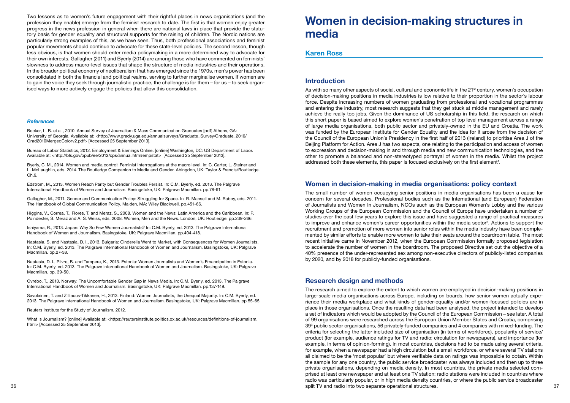Two lessons as to women's future engagement with their rightful places in news organisations (and the profession they enable) emerge from the feminist research to date. The irst is that women enjoy greater progress in the news profession in general when there are national laws in place that provide the statutory basis for gender equality and structural supports for the raising of children. The Nordic nations are particularly strong examples of this, as we have seen. Thus, both professional associations and feminist popular movements should continue to advocate for these state-level policies. The second lesson, though less obvious, is that women should enter media policymaking in a more determined way to advocate for their own interests. Gallagher (2011) and Byerly (2014) are among those who have commented on feminists' slowness to address macro-level issues that shape the structure of media industries and their operations. In the broader political economy of neoliberalism that has emerged since the 1970s, men's power has been consolidated in both the inancial and political realms, serving to further marginalise women. If women are to gain the voice they seek through journalistic practice, the challenge is for them – for us – to seek organised ways to more actively engage the policies that allow this consolidation.

#### *References*

Becker, L. B. et al., 2010. Annual Survey of Journalism & Mass Communication Graduates [pdf] Athens, GA: University of Georgia. Available at: <http://www.grady.uga.edu/annualsurveys/Graduate\_Survey/Graduate\_2010/ Grad2010MergedColorv2.pdf> [Accessed 25 September 2013].

Bureau of Labor Statistics, 2012. Employment & Earnings Online. [online] Washington, DC: US Department of Labor. Available at: <http://bls.gov/opub/ee/2012/cps/annual.htm#empstat> [Accessed 25 September 2013].

Byerly, C. M., 2014. Women and media control: Feminist interrogations at the macro level. In: C. Carter, L. Steiner and L. McLaughlin, eds. 2014. The Routledge Companion to Media and Gender. Abingdon, UK: Taylor & Francis/Routledge. Ch.9.

What is Journalism? [online] Available at: <https://reutersinstitute.politics.ox.ac.uk/resources/definitions-of-journalism. html> [Accessed 25 September 2013].

Edstrom, M., 2013. Women Reach Parity but Gender Troubles Persist. In: C.M. Byerly, ed. 2013. The Palgrave International Handbook of Women and Journalism. Basingstoke, UK: Palgrave Macmillan. pp.78-91.

Gallagher, M., 2011. Gender and Communication Policy: Struggling for Space. In R. Mansell and M. Raboy, eds. 2011. The Handbook of Global Communication Policy. Malden, MA: Wiley Blackwell. pp.451-66.

Higgins, V., Correa, T., Flores, T. and Meraz, S., 2008. Women and the News: Latin America and the Caribbean. In: P. Poindexter, S. Meraz and A. S. Weiss, eds. 2008. Women, Men and the News. London, UK: Routledge. pp.239-266.

Ishiyama, R., 2013. Japan: Why So Few Women Journalists? In: C.M. Byerly, ed. 2013. The Palgrave International Handbook of Women and Journalism. Basingstoke, UK: Palgrave Macmillan. pp.404-418.

Nastasia, S. and Nastasia, D. I., 2013. Bulgaria: Cinderella Went to Market, with Consequences for Women Journalists. In: C.M. Byerly, ed. 2013. The Palgrave International Handbook of Women and Journalism. Basingstoke, UK: Palgrave Macmillan. pp.27-38.

Nastasia, D. I., Pilvre, B. and Tampere, K., 2013. Estonia: Women Journalists and Women's Emancipation in Estonia. In: C.M. Byerly, ed. 2013. The Palgrave International Handbook of Women and Journalism. Basingstoke, UK: Palgrave Macmillan. pp. 39-50.

Ovrebo, T., 2013. Norway: The Uncomfortable Gender Gap in News Media. In: C.M. Byerly, ed. 2013. The Palgrave International Handbook of Women and Journalism. Basingstoke, UK: Palgrave Macmillan. pp.137-149.

Savolainen, T. and Zilliacus-Tikkanen, H., 2013. Finland: Women Journalists, the Unequal Majority. In: C.M. Byerly, ed. 2013. The Palgrave International Handbook of Women and Journalism. Basingstoke, UK: Palgrave Macmillan. pp.55-65.

Reuters Institute for the Study of Journalism, 2012.

# **Women in decision-making structures in media**

### **Karen Ross**

## **Introduction**

As with so many other aspects of social, cultural and economic life in the 21<sup>st</sup> century, women's occupation of decision-making positions in media industries is low relative to their proportion in the sector's labour force. Despite increasing numbers of women graduating from professional and vocational programmes and entering the industry, most research suggests that they get stuck at middle management and rarely achieve the really top jobs. Given the dominance of US scholarship in this ield, the research on which this short paper is based aimed to explore women's penetration of top level management across a range of large media organisations, both public sector and privately-owned in the EU and Croatia. The work was funded by the European Institute for Gender Equality and the idea for it arose from the decision of the Council of the European Union's Presidency in the irst half of 2013 (Ireland) to prioritise Area J of the Beijing Platform for Action. Area J has two aspects, one relating to the participation and access of women to expression and decision-making in and through media and new communication technologies, and the other to promote a balanced and non-stereotyped portrayal of women in the media. Whilst the project addressed both these elements, this paper is focused exclusively on the first element<sup>1</sup>.

36 37 split TV and radio into two separate operational structures.The research aimed to explore the extent to which women are employed in decision-making positions in large-scale media organisations across Europe, including on boards, how senior women actually experience their media workplace and what kinds of gender-equality and/or women-focused policies are in place in those organisations. Once the resulting data had been analysed, the project intended to develop a set of indicators which would be adopted by the Council of the European Commission – see later. A total of 99 organisations were researched across the European Union Member States and Croatia, comprising 39<sup>3</sup> public sector organisations, 56 privately-funded companies and 4 companies with mixed-funding. The criteria for selecting the latter included size of organisation (in terms of workforce), popularity of service/ product (for example, audience ratings for TV and radio; circulation for newspapers), and importance (for example, in terms of opinion-forming). In most countries, decisions had to be made using several criteria, for example, when a newspaper had a high circulation but a small workforce, or where several TV stations all claimed to be the 'most popular' but where veriiable data on ratings was impossible to obtain. Within the sample for any one country, the public service broadcaster was always included and then up to three private organisations, depending on media density. In most countries, the private media selected comprised at least one newspaper and at least one TV station: radio stations were included in countries where radio was particularly popular, or in high media density countries, or where the public service broadcaster

# **Women in decision-making in media organisations: policy context**

The small number of women occupying senior positions in media organisations has been a cause for concern for several decades. Professional bodies such as the International (and European) Federation of Journalists and Women In Journalism, NGOs such as the European Women's Lobby and the various Working Groups of the European Commission and the Council of Europe have undertaken a number of studies over the past few years to explore this issue and have suggested a range of practical measures to improve and enhance women's career opportunities within the media sector 2 . Actions to support the recruitment and promotion of more women into senior roles within the media industry have been complemented by similar eforts to enable more women to take their seats around the boardroom table. The most recent initiative came in November 2012, when the European Commission formally proposed legislation to accelerate the number of women in the boardroom. The proposed Directive set out the objective of a 40% presence of the under-represented sex among non-executive directors of publicly-listed companies by 2020, and by 2018 for publicly-funded organisations.

# **Research design and methods**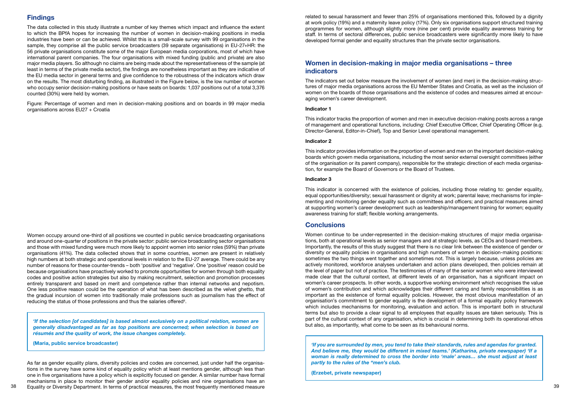# **Findings**

The data collected in this study illustrate a number of key themes which impact and influence the extent to which the BPfA hopes for increasing the number of women in decision-making positions in media industries have been or can be achieved. Whilst this is a small-scale survey with 99 organisations in the sample, they comprise all the public service broadcasters (39 separate organisations) in EU-27+HR: the 56 private organisations constitute some of the major European media corporations, most of which have international parent companies. The four organisations with mixed funding (public and private) are also major media players. So although no claims are being made about the representativeness of the sample (at least in terms of the private media sector), the indings are nonetheless important as they are indicative of the EU media sector in general terms and give confidence to the robustness of the indicators which draw on the results. The most disturbing inding, as illustrated in the Figure below, is the low number of women who occupy senior decision-making positions or have seats on boards: 1,037 positions out of a total 3,376 counted (30%) were held by women.

Women occupy around one-third of all positions we counted in public service broadcasting organisations and around one-quarter of positions in the private sector: public service broadcasting sector organisations and those with mixed funding were much more likely to appoint women into senior roles (59%) than private organisations (41%). The data collected shows that in some countries, women are present in relatively high numbers at both strategic and operational levels in relation to the EU-27 average. There could be any number of reasons for these counter-trends – both 'positive' and 'negative'. One 'positive' reason could be because organisations have proactively worked to promote opportunities for women through both equality codes and positive action strategies but also by making recruitment, selection and promotion processes entirely transparent and based on merit and competence rather than internal networks and nepotism. One less positive reason could be the operation of what has been described as the velvet ghetto, that the gradual incursion of women into traditionally male professions such as journalism has the efect of reducing the status of those professions and thus the salaries offered $\hbox{}^4.$ 

Figure: Percentage of women and men in decision-making positions and on boards in 99 major media organisations across EU27 + Croatia

38 39 Equality or Diversity Department. In terms of practical measures, the most frequently mentioned measure As far as gender equality plans, diversity policies and codes are concerned, just under half the organisations in the survey have some kind of equality policy which at least mentions gender, although less than one in five organisations have a policy which is explicitly focused on gender. A similar number have formal mechanisms in place to monitor their gender and/or equality policies and nine organisations have an

This indicator is concerned with the existence of policies, including those relating to: gender equality, equal opportunities/diversity; sexual harassment or dignity at work; parental leave; mechanisms for implementing and monitoring gender equality such as committees and officers; and practical measures aimed at supporting women's career development such as leadership/management training for women; equality awareness training for staff; flexible working arrangements.

*'If the selection [of candidates] is based almost exclusively on a political relation, women are generally disadvantaged as far as top positions are concerned; when selection is based on résumés and the quality of work, the issue changes completely.*

**(Maria, public service broadcaster)**

related to sexual harassment and fewer than 25% of organisations mentioned this, followed by a dignity at work policy (19%) and a maternity leave policy (17%). Only six organisations support structured training programmes for women, although slightly more (nine per cent) provide equality awareness training for staff. In terms of sectoral differences, public service broadcasters were significantly more likely to have developed formal gender and equality structures than the private sector organisations.

# **Women in decision-making in major media organisations – three indicators**

The indicators set out below measure the involvement of women (and men) in the decision-making structures of major media organisations across the EU Member States and Croatia, as well as the inclusion of women on the boards of those organisations and the existence of codes and measures aimed at encouraging women's career development.

#### **Indicator 1**

This indicator tracks the proportion of women and men in executive decision-making posts across a range of management and operational functions, including: Chief Executive Officer, Chief Operating Officer (e.g. Director-General, Editor-in-Chief), Top and Senior Level operational management.

#### **Indicator 2**

This indicator provides information on the proportion of women and men on the important decision-making boards which govern media organisations, including the most senior external oversight committees (either of the organisation or its parent company), responsible for the strategic direction of each media organisation, for example the Board of Governors or the Board of Trustees.

#### **Indicator 3**

# **Conclusions**

Women continue to be under-represented in the decision-making structures of major media organisations, both at operational levels as senior managers and at strategic levels, as CEOs and board members. Importantly, the results of this study suggest that there is no clear link between the existence of gender or diversity or equality policies in organisations and high numbers of women in decision-making positions: sometimes the two things went together and sometimes not. This is largely because, unless policies are actively monitored, workforce analyses undertaken and action plans developed, then policies remain at the level of paper but not of practice. The testimonies of many of the senior women who were interviewed made clear that the cultural context, at different levels of an organisation, has a significant impact on women's career prospects. In other words, a supportive working environment which recognises the value of women's contribution and which acknowledges their diferent caring and family responsibilities is as important as the existence of formal equality policies. However, the most obvious manifestation of an organisation's commitment to gender equality is the development of a formal equality policy framework which includes mechanisms for monitoring, evaluation and action. This is important both in structural terms but also to provide a clear signal to all employees that equality issues are taken seriously. This is part of the cultural context of any organisation, which is crucial in determining both its operational ethos but also, as importantly, what come to be seen as its behavioural norms.

*'If you are surrounded by men, you tend to take their standards, rules and agendas for granted. And believe me, they would be diferent in mixed teams.' (Katharina, private newspaper) 'If a woman is really determined to cross the border into 'male' areas… she must adjust at least partly to the rules of the "men's club.*

**(Erzebet, private newspaper)**